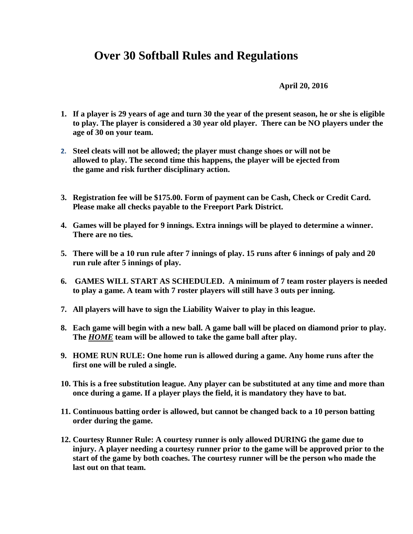## **Over 30 Softball Rules and Regulations**

**April 20, 2016**

- **1. If a player is 29 years of age and turn 30 the year of the present season, he or she is eligible to play. The player is considered a 30 year old player. There can be NO players under the age of 30 on your team.**
- **2. Steel cleats will not be allowed; the player must change shoes or will not be allowed to play. The second time this happens, the player will be ejected from the game and risk further disciplinary action.**
- **3. Registration fee will be \$175.00. Form of payment can be Cash, Check or Credit Card. Please make all checks payable to the Freeport Park District.**
- **4. Games will be played for 9 innings. Extra innings will be played to determine a winner. There are no ties.**
- **5. There will be a 10 run rule after 7 innings of play. 15 runs after 6 innings of paly and 20 run rule after 5 innings of play.**
- **6. GAMES WILL START AS SCHEDULED. A minimum of 7 team roster players is needed to play a game. A team with 7 roster players will still have 3 outs per inning.**
- **7. All players will have to sign the Liability Waiver to play in this league.**
- **8. Each game will begin with a new ball. A game ball will be placed on diamond prior to play. The** *HOME* **team will be allowed to take the game ball after play.**
- **9. HOME RUN RULE: One home run is allowed during a game. Any home runs after the first one will be ruled a single.**
- **10. This is a free substitution league. Any player can be substituted at any time and more than once during a game. If a player plays the field, it is mandatory they have to bat.**
- **11. Continuous batting order is allowed, but cannot be changed back to a 10 person batting order during the game.**
- **12. Courtesy Runner Rule: A courtesy runner is only allowed DURING the game due to injury. A player needing a courtesy runner prior to the game will be approved prior to the start of the game by both coaches. The courtesy runner will be the person who made the last out on that team.**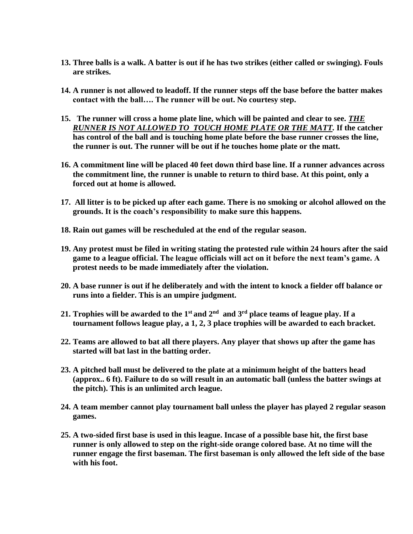- **13. Three balls is a walk. A batter is out if he has two strikes (either called or swinging). Fouls are strikes.**
- **14. A runner is not allowed to leadoff. If the runner steps off the base before the batter makes contact with the ball…. The runner will be out. No courtesy step.**
- **15. The runner will cross a home plate line, which will be painted and clear to see.** *THE RUNNER IS NOT ALLOWED TO TOUCH HOME PLATE OR THE MATT.* **If the catcher has control of the ball and is touching home plate before the base runner crosses the line, the runner is out. The runner will be out if he touches home plate or the matt.**
- **16. A commitment line will be placed 40 feet down third base line. If a runner advances across the commitment line, the runner is unable to return to third base. At this point, only a forced out at home is allowed.**
- **17. All litter is to be picked up after each game. There is no smoking or alcohol allowed on the grounds. It is the coach's responsibility to make sure this happens.**
- **18. Rain out games will be rescheduled at the end of the regular season.**
- **19. Any protest must be filed in writing stating the protested rule within 24 hours after the said game to a league official. The league officials will act on it before the next team's game. A protest needs to be made immediately after the violation.**
- **20. A base runner is out if he deliberately and with the intent to knock a fielder off balance or runs into a fielder. This is an umpire judgment.**
- **21. Trophies will be awarded to the 1st and 2nd and 3rd place teams of league play. If a tournament follows league play, a 1, 2, 3 place trophies will be awarded to each bracket.**
- **22. Teams are allowed to bat all there players. Any player that shows up after the game has started will bat last in the batting order.**
- **23. A pitched ball must be delivered to the plate at a minimum height of the batters head (approx.. 6 ft). Failure to do so will result in an automatic ball (unless the batter swings at the pitch). This is an unlimited arch league.**
- **24. A team member cannot play tournament ball unless the player has played 2 regular season games.**
- **25. A two-sided first base is used in this league. Incase of a possible base hit, the first base runner is only allowed to step on the right-side orange colored base. At no time will the runner engage the first baseman. The first baseman is only allowed the left side of the base with his foot.**